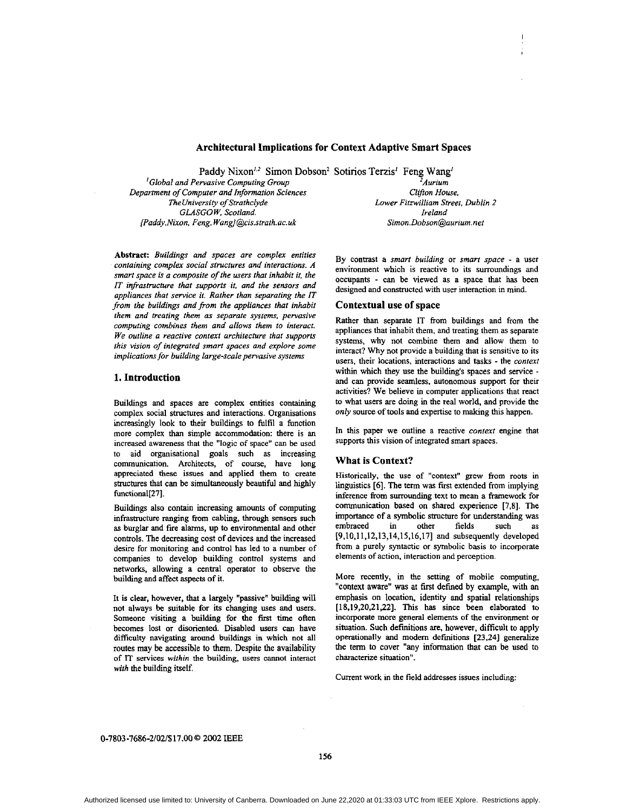# **Architectural Implications for Context Adaptive Smart Spaces**

Paddy Nixon<sup>1,2</sup> Simon Dobson<sup>2</sup> Sotirios Terzis' Feng Wang<sup>1</sup>

*'Global and Pervasive Computing Group Department of Computer and Information Sciences TheLlniversity of Strathclyde GLASGOW. Scotland. (Paddy.Nixon, Feng. Wand [@cis.snath.ac.uk](mailto:cis.snath.ac.uk)* 

*'Aurium Clifton House, Lower Fitzwilliam Sheet, Dublin 2 Ireland Simon.Dobson@aurium. net* 

I

Abstract: *Buildings and spaces are complex entities containing complex social structures and interactions. A smart space is a composite of the users that inhabit it, the IT infrastructure that supports it. and the sensors and appliances that service it. Rather than separating the IT from the buildings and from the appliances that inhabit them and treating them* **as** *separate systems. pervasive computing combines them and allows them to interact. We outline a reactive context architecture that supports this vision of integrated smart spaces and explore some implicationsfor building large-scale pervasive systems* 

## **1. Introduction**

Buildings and spaces are complex entities containing complex social structures and interactions. Organisations increasingly look to their buildings to fulfil a function more complex than simple accommodation: there is an increased awareness that the "logic of space" can be used to aid organisational goals such as increasing communication. Architects, of course, have long appreciated these issues and applied them to create structures that can be simultaneously beautiful and highly functional[27].

Buildings also contain increasing amounts of computing infrastructure ranging from cabling, through sensors such **as** burglar and fire alarms, up to environmental and other controls. The decreasing cost of devices and the increased desire for monitoring and control has led to a number of companies to develop building control systems and networks, allowing a central operator to observe the building and affect aspects of it.

It is clear, however, that a largely "passive" building will not always be suitable for its changing uses and users. Someone visiting a building for the first time often becomes lost or disoriented. Disabled users can have difficulty navigating around buildings in which not all routes may be accessible to them. Despite the availability of IT services *within* the building, users cannot interact *with* the building itself.

By contrast a *smart building* or *smart space* ~ a user environment which is reactive to its surroundings and occupants - can be viewed as a space that has been designed and constructed with user interaction in mind.

# **Contextual use of space**

Rather than separate IT from buildings and from the appliances that inhabit them, and treating them as separate systems, why not combine them and allow them to interact? Why not provide a building that is sensitive to its users, their locations, interactions and tasks - the *context*  within which they use the building's spaces and service and can provide seamless, autonomous support for their activities? We believe in computer applications that react to what users are doing in the real world, and provide the *only* source of tools and expertise to making this happen.

In this paper we outline a reactive *context* engine that supports this vision of integrated smart spaces.

## **What is Context?**

Historically, the use of "context" grew from roots in lmguistics [6]. The term was first extended from implying inference from surrounding text to mean a framework for communication based **on** shared experience [7,8]. The importance of a symbolic structure for understanding was embraced in other fields such **as [9,10,11,12,13,14,15,16,17]** and subsequently developed from a purely syntactic or symbolic basis to incorporate elements of action, interaction and perception.

More recently, in the setting of mobile computing, "context aware" was at first defined by example, with an emphasis on location, identity and spatial relationships [18,19,20,21,22]. This has since been elaborated to incorporate more general elements of the environment or situation. Such definitions **are,** however, difficult to apply operationally and modern definitions [23,24] generalize the term to cover "any information that can be used to characterize situation".

Current work in the field addresses issues including:

0-7803-7686-2/02/%17.00 *8* 2002 IEEE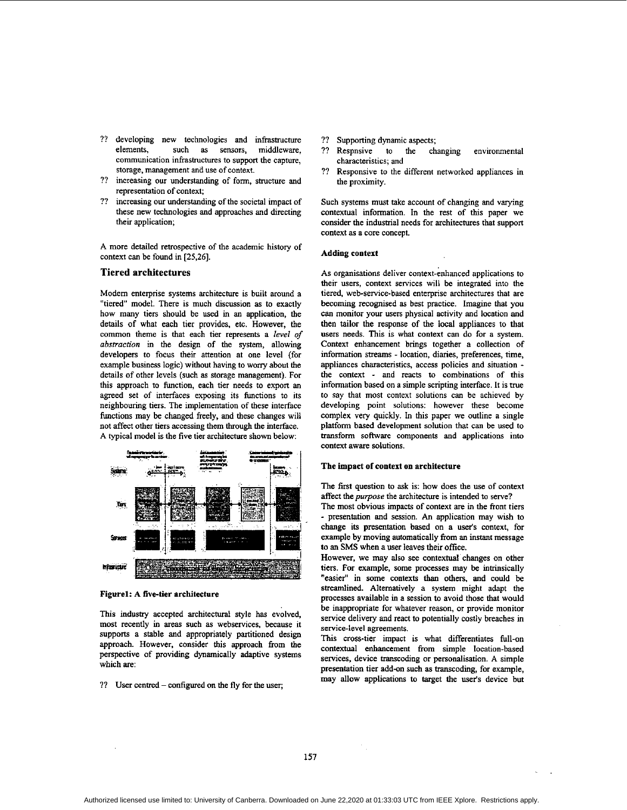- ?? developing new technologies and infrasrmcture elements, such **as** sensors, middleware, communication infrastructures to support the capture, storage, management and use of context.
- ?? increasing our understanding of form, structure and representation of context;
- ?? increasing our understanding of the societal impact of these new technologies and approaches and directing their application;

A more detailed retrospective of the academic history of context can he found in **[25,26].** 

# **Tiered architectures**

Modem enterprise systems architecture is built around a "tiered" model. There is much discussion as to exactly how many tiers should he used in an application, the details of what each tier provides, etc. However, the common theme is that each tier represents a level *of*  abstraction in the design of the system, allowing developers to focus their attention at one level (for example business logic) without having to worry about the details of other levels (such **as** storage management). For this approach to function, each tier needs to export an agreed set of interfaces exposing its functions to its neighbouring tiers. The implementation of these interface functions may he changed freely, and these changes will not affect other tiers accessing them through the interface. A typical model is the five tier architecture shown below:



Figure1: A five-tier architecture

This industry accepted architectural style has evolved, most recently in areas such as webservices, because it supports a stable and appropriately partitioned design approach. However, consider **this** approach from the perspective of providing dynamically adaptive systems which **are:** 

?? User centred – configured on the fly for the user;

- ?? Supporting dynamic aspects;
- ?? Respnsive to the changing environmental characteristics; and
- ?? Responsive to the different networked appliances in the proximity.

Such systems must take account of changing and varying contextual information. In the rest of this paper we consider the industrial needs for architectures that support context as a core concept.

### **Adding** context

As organisations deliver context-enhanced applications to their users, context services will he integrated into the tiered, web-service-based enterprise architectures that are becoming recognised **as** best practice. Imagine that you can monitor your users physical activity and location and then tailor the response of the local appliances to that users needs. This is what context can do for a system. Context enhancement brings together a collection of information streams - location, diaries, preferences, time, appliances characteristics, access policies and situation the context - and reacts to combinations of this information based on a simple scripting interface. It is true to say that most context solutions can he achieved by developing point solutions: however these become complex very quickly. In this paper we outline a single platfonn based development solution that can be used to transform **software** components and applications into context aware solutions.

### The impact of context **on** architecture

The first question to **ask** is: how does the use of context affect the *purpose* the architecture is intended to serve?

The most obvious impacts of context are in the front tiers <sup>~</sup>presentation and session. *An* application may wish to change its presentation based on a user's context, for example hy moving automatically from an instant message to an **SMS** when a user leaves their ofice.

However, we may also **see** contextual changes on other tiers. For example, some processes may be intrinsically "easier" in some contexts **than** others, and could he **streamlined.** Altematively a system might adapt the processes available in a session to avoid those that would be inappropriate for whatever reason, or provide monitor service delivery and react to potentially costly breaches in service-level agreements.

This cross-tier impact is what differentiates full-on contextual enhancement from simple location-based services, device transcoding or personalisation. A simple presentation tier add-on such **as** transcoding, for example, may **allow** applications to target the user's device but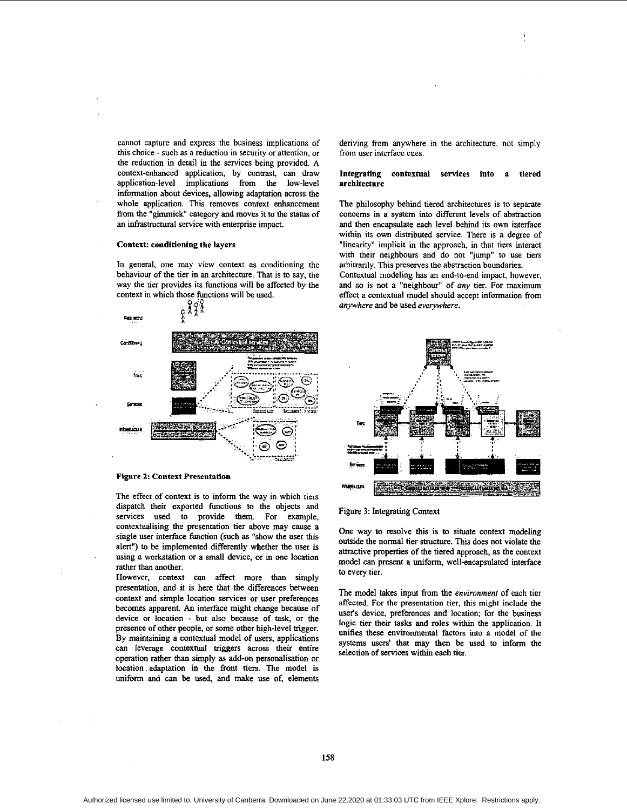cannot capture and express the business implications of this choice - such as a reduction in security or attention, or the reduction in detail in the services being provided. A context-enhanced application, by contrast, can draw application-level implications from the low-level information about devices, allowing adaptation across the whole application. This removes context enhancement from the "gimmick" category and moves it to the status of an infrastructural service with enterprise impact.

## Context: conditioning the layers

In general, one may view context as conditioning the behaviour of the tier in an architecture. That is to say, the way the tier provides its functions will be affected by the context in which those functions will be used.



**Figure 2: Context Presentation** 

The effect of context is to inform the way in which tiers dispatch their exported functions to the objects and services used to provide them. For example, contextualising the presentation tier above may cause a single user interface function (such as "show the user this alert") to be implemented differently whether the user is using a workstation or a small device, or in one location rather than another.

However, context can affect more than simply presentation, **and** it is here that the differences between context and simple location services or user preferences becomes apparent. *An* interface might change because of device or location - hut also because of **task,** or the presence of other people, or some other high-level trigger. By maintaining a contextual model of users, applications can leverage contextual triggers across their entire operation rather than simply as add-on personalisation or location. adaptation in the front tiers. The model is uniform and can be used, and make use of, elements

deriving from anywhere in the architecture, not simply from user interface cues.

### Integrating contextual services into a tiered architecture

The philosophy behind tiered architectures is to separate concems in a system into different levels of abstraction and then encapsulate each level behind its own interface within its own distributed service. There is a degree of "linearity" implicit in the approach, in that tiers interact with their neighbours and do not "jump" to use tiers arbitrarily. This preserves the abstraction boundaries. Contextual modeling has an end-to-end impact, however, and **so** is not a "neighbour" of *any* tier. For maximum effect a contextual model should accept information from *anywhere* and be used *ewrywhere.* 



Figure 3: Integrating Context

One way to resolve this is to situate context modeling outside the normal tier structure. This does not violate the attractive properties of the tiered approach, as the context model can present a uniform, well-encapsulated interface to every tier.

The model takes input from the *environment* of each tier affected. For the presentation tier, this might include the user's device, preferences and location; for the business logic tier their tasks and roles within the application. It unifies these environmental factors into a model of the systems **users'** that may then be **used** to inform the selection of services within each tier.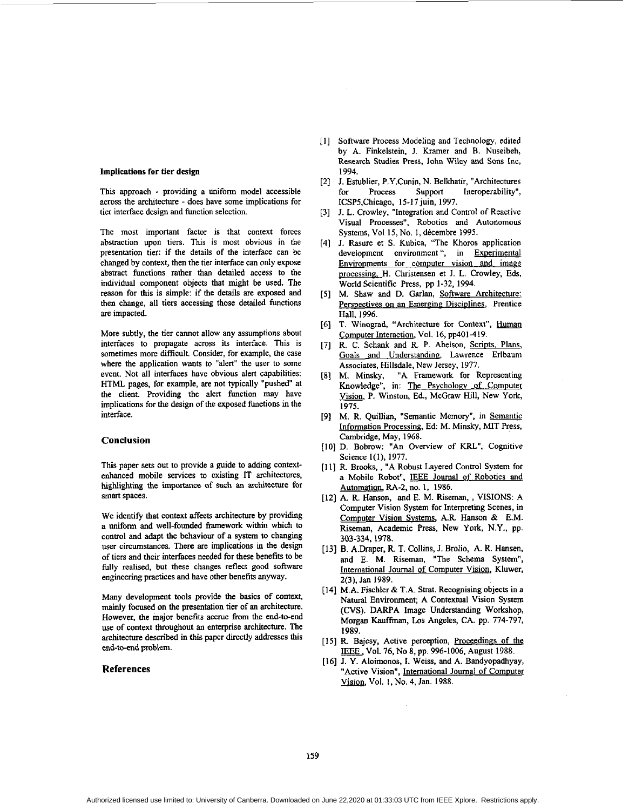#### Implications for tier design

This approach ~ providing a uniform model accessible across the architecture - does have some implications for tier interface design and function selection.

The most important factor is that context forces abstraction upon tiers. This is most obvious in the presentation tier: if the details of the interface can be changed by context, then the tier interface can only expose abstract functions rather than detailed access to the individual component objects that might be used. The reason for this is simple: if the details are exposed and then change, all tiers accessing those detailed functions are impacted.

More subtly, the tier cannot allow any assumptions about interfaces to propagate across its interface. This is sometimes more difficult. Consider, for example, the case where the application wants to "alert" the user to some event. Not all interfaces have obvious alert capabilities: HTML pages, for example, **are** not typically "pushed" at the client. Providing the alert function may have implications for the design of the exposed functions in the interface.

## **Conclusion**

This paper sets out to provide a guide to adding contextenhanced mobile services to existing IT architectures, highlighting the importance of such an architecture for smart spaces.

We identify that context affects architecture by providing a uniform and well-founded framework witbin which to control and adapt the behaviour of a system to changing user circumstances. There **are** implications in the design of tiers and their interfaces needed for these benefits to be filly realised, but these changes reflect good software engineering practices and have other benefits anyway.

Many development tools provide the basics of context, mainly focused on the presentation tier of an architecture. However, the major benefits accrue from the end-to-end use of context throughout an enterprise architecture. The architecture described in this paper directly addresses this end-to-end problem.

## **References**

- [1] Software Process Modeling and Technology, edited by A. Finkelstein, J. Kramer and B. Nuseibeh, Research Studies Press, John Wiley and Sons Inc, **1994.**
- J. Estublier, P.Y.Cunin, N. Belkhatir, "Architectures **[2]**  for Process Support Ineroperability", ICSPS,Chicago, **15-17** juin, **1997.**
- **[3]** J. **L.** Crowley, "Integration and Control of Reactive Visual Processes", Robotics and Autonomous Systems, Vol **15,** No. I, decembre **1995.**
- **[4]** J. Rasure et *S.* Kubica, "The Khoros application development environment ", in Experimental Environments for computer vision and image processine. H. Christensen et J. L. Crowley, Eds, World Scientific Press, pp **1-32, 1994.**
- **[SI** M. Sbaw and D. Garlan, Software Architecture: Perspectives on an Emerging Disciplines, Prentice Hall, **1996.**
- **[6]** T. Winograd, "Architecture for Context", Human Computer Interaction, Vol. **16, pp401-419.**
- **[7]** R. C. Schank and R. P. Abelson, Scripts. Plans, Goals and Understanding, Lawrence Erlbaum Associates, Hillsdale, New Jersey, **1977.**
- **[E]** M. **Minsky,** "A Framework far Representing Knowledge", in: The Psychology of Computer Vision, **P.** Winston, Ed., McGraw Hill, New York, **1975.**
- **[9]** M. **R.** Quillian, "Semantic Memory", in Information Processing, Ed: M. Minsky, MIT Press, Cambridge, May, **1968.**
- **[lo]** D. Bobrow: *"An* Overview of KRL", Cognitive Science **1(1), 1977.**
- [ **111** R. Brooks, , "A Robust Layered Control System for a Mobile Robot", IEEE loumal of Robotics and Automation, **RA-2,** no. **1, 1986.**
- [12] A. R. Hanson, and E. M. Riseman, , VISIONS: A Computer Vision System for Interpreting Scenes, in Computer Vision Svstems, A.R. Hanson & E.M. Riseman, Academic Press, New York, N.Y., pp. **303-334,1978.**
- **[13] B.** A.Draper, R. T. Collins, J. Brolio, A. R. Hansen, and E. **M.** Riseman, "The Schema System", Intemational Joumal of Computer Vision, Kluwer, **2(3),** Jan **1989.**
- **[I41** M.A. Fischler & T.A. Strat. Recognising objects in a Natural Environment; A Contextual Vision System (CVS). DARPA Image Understanding Workshop, Morgan Kauffman, Los Angeles, CA. pp. 774-797, **1989.**
- [15] R. Bajcsy, Active perception, Proceedings of the Vol. **76,** No **8,** pp. **996-1006,** August **1988.**
- **[16] J.** Y. Aloimonos, I. Weiss, and A. Bandyopadhyay, "Active Vision", International Journal of Computer Vision. Vol. **I,** No. **4,** Jan. **1988.**